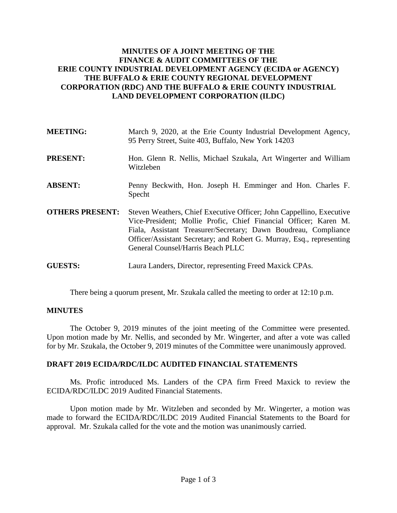# **MINUTES OF A JOINT MEETING OF THE FINANCE & AUDIT COMMITTEES OF THE ERIE COUNTY INDUSTRIAL DEVELOPMENT AGENCY (ECIDA or AGENCY) THE BUFFALO & ERIE COUNTY REGIONAL DEVELOPMENT CORPORATION (RDC) AND THE BUFFALO & ERIE COUNTY INDUSTRIAL LAND DEVELOPMENT CORPORATION (ILDC)**

| <b>MEETING:</b>        | March 9, 2020, at the Erie County Industrial Development Agency,<br>95 Perry Street, Suite 403, Buffalo, New York 14203                                                                                                                                                                                                   |
|------------------------|---------------------------------------------------------------------------------------------------------------------------------------------------------------------------------------------------------------------------------------------------------------------------------------------------------------------------|
| <b>PRESENT:</b>        | Hon. Glenn R. Nellis, Michael Szukala, Art Wingerter and William<br>Witzleben                                                                                                                                                                                                                                             |
| <b>ABSENT:</b>         | Penny Beckwith, Hon. Joseph H. Emminger and Hon. Charles F.<br>Specht                                                                                                                                                                                                                                                     |
| <b>OTHERS PRESENT:</b> | Steven Weathers, Chief Executive Officer; John Cappellino, Executive<br>Vice-President; Mollie Profic, Chief Financial Officer; Karen M.<br>Fiala, Assistant Treasurer/Secretary; Dawn Boudreau, Compliance<br>Officer/Assistant Secretary; and Robert G. Murray, Esq., representing<br>General Counsel/Harris Beach PLLC |
| <b>GUESTS:</b>         | Laura Landers, Director, representing Freed Maxick CPAs.                                                                                                                                                                                                                                                                  |

There being a quorum present, Mr. Szukala called the meeting to order at 12:10 p.m.

# **MINUTES**

The October 9, 2019 minutes of the joint meeting of the Committee were presented. Upon motion made by Mr. Nellis, and seconded by Mr. Wingerter, and after a vote was called for by Mr. Szukala, the October 9, 2019 minutes of the Committee were unanimously approved.

# **DRAFT 2019 ECIDA/RDC/ILDC AUDITED FINANCIAL STATEMENTS**

Ms. Profic introduced Ms. Landers of the CPA firm Freed Maxick to review the ECIDA/RDC/ILDC 2019 Audited Financial Statements.

Upon motion made by Mr. Witzleben and seconded by Mr. Wingerter, a motion was made to forward the ECIDA/RDC/ILDC 2019 Audited Financial Statements to the Board for approval. Mr. Szukala called for the vote and the motion was unanimously carried.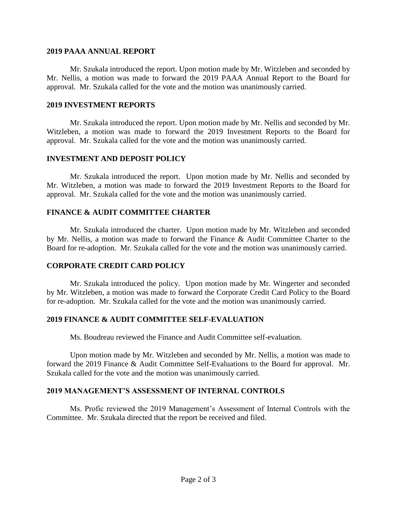#### **2019 PAAA ANNUAL REPORT**

Mr. Szukala introduced the report. Upon motion made by Mr. Witzleben and seconded by Mr. Nellis, a motion was made to forward the 2019 PAAA Annual Report to the Board for approval. Mr. Szukala called for the vote and the motion was unanimously carried.

#### **2019 INVESTMENT REPORTS**

Mr. Szukala introduced the report. Upon motion made by Mr. Nellis and seconded by Mr. Witzleben, a motion was made to forward the 2019 Investment Reports to the Board for approval. Mr. Szukala called for the vote and the motion was unanimously carried.

### **INVESTMENT AND DEPOSIT POLICY**

Mr. Szukala introduced the report. Upon motion made by Mr. Nellis and seconded by Mr. Witzleben, a motion was made to forward the 2019 Investment Reports to the Board for approval. Mr. Szukala called for the vote and the motion was unanimously carried.

# **FINANCE & AUDIT COMMITTEE CHARTER**

Mr. Szukala introduced the charter. Upon motion made by Mr. Witzleben and seconded by Mr. Nellis, a motion was made to forward the Finance & Audit Committee Charter to the Board for re-adoption. Mr. Szukala called for the vote and the motion was unanimously carried.

# **CORPORATE CREDIT CARD POLICY**

Mr. Szukala introduced the policy. Upon motion made by Mr. Wingerter and seconded by Mr. Witzleben, a motion was made to forward the Corporate Credit Card Policy to the Board for re-adoption. Mr. Szukala called for the vote and the motion was unanimously carried.

### **2019 FINANCE & AUDIT COMMITTEE SELF-EVALUATION**

Ms. Boudreau reviewed the Finance and Audit Committee self-evaluation.

Upon motion made by Mr. Witzleben and seconded by Mr. Nellis, a motion was made to forward the 2019 Finance & Audit Committee Self-Evaluations to the Board for approval. Mr. Szukala called for the vote and the motion was unanimously carried.

### **2019 MANAGEMENT'S ASSESSMENT OF INTERNAL CONTROLS**

Ms. Profic reviewed the 2019 Management's Assessment of Internal Controls with the Committee. Mr. Szukala directed that the report be received and filed.